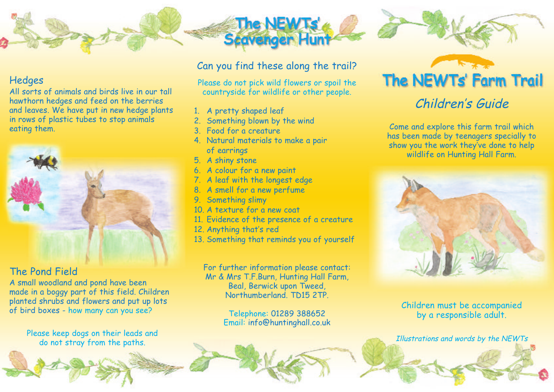

#### **Hedges**

All sorts of animals and birds live in our tall hawthorn hedges and feed on the berries and leaves. We have put in new hedge plants in rows of plastic tubes to stop animals eating them.



#### The Pond Field

A small woodland and pond have been made in a boggy part of this field. Children planted shrubs and flowers and put up lots of bird boxes - how many can you see?

Please keep dogs on their leads and do not stray from the paths.

#### Can you find these along the trail?

The NEWTs'

Please do not pick wild flowers or spoil the countryside for wildlife or other people.

- 1. A pretty shaped leaf
- 2. Something blown by the wind
- 3. Food for a creature
- 4. Natural materials to make a pair of earrings
- 5. A shiny stone
- 6. A colour for a new paint
- 7. A leaf with the longest edge
- 8. A smell for a new perfume
- 9. Something slimy
- 10. A texture for a new coat
- 11. Evidence of the presence of a creature
- 12. Anything that's red
- 13. Something that reminds you of yourself

For further information please contact: Mr & Mrs T.F.Burn, Hunting Hall Farm, Beal, Berwick upon Tweed, Northumberland. TD15 2TP.

> Telephone: 01289 388652 Email: info@huntinghall.co.uk

## The NEWTs' Farm Trail

### Children's Guide

Come and explore this farm trail which has been made by teenagers specially to show you the work they've done to help wildlife on Hunting Hall Farm.



Children must be accompanied by a responsible adult.

Illustrations and words by the NEWTs